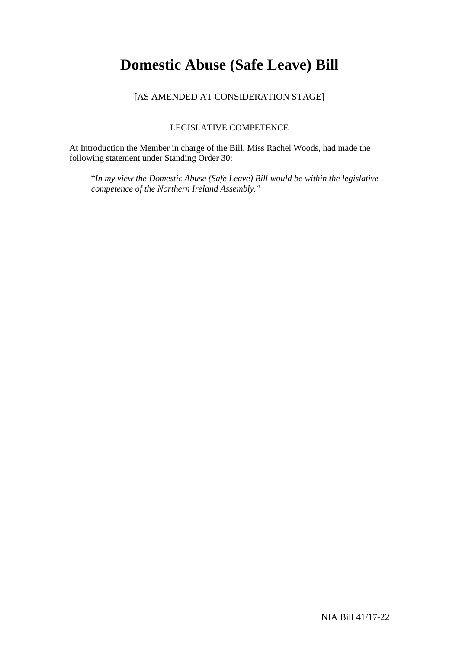# **Domestic Abuse (Safe Leave) Bill**

## [AS AMENDED AT CONSIDERATION STAGE]

### LEGISLATIVE COMPETENCE

At Introduction the Member in charge of the Bill, Miss Rachel Woods, had made the following statement under Standing Order 30:

"*In my view the Domestic Abuse (Safe Leave) Bill would be within the legislative competence of the Northern Ireland Assembly.*"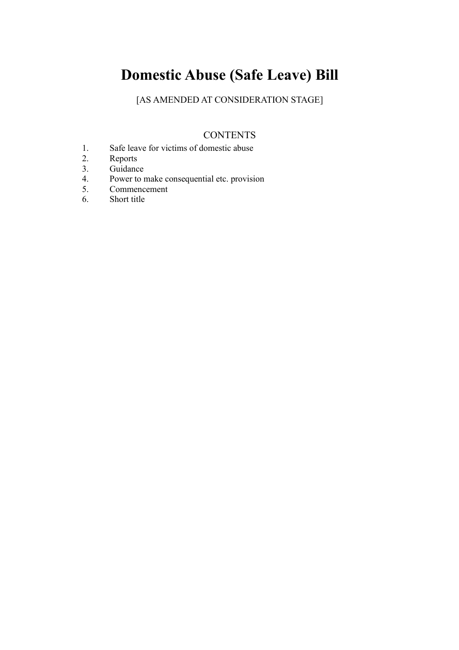# **Domestic Abuse (Safe Leave) Bill**

[AS AMENDED AT CONSIDERATION STAGE]

# **CONTENTS**

- 1. Safe leave for victims of domestic abuse
- 2. Reports<br>3. Guidanc
- Guidance
- 4. Power to make consequential etc. provision
- 5. Commencement<br>6. Short title
- Short title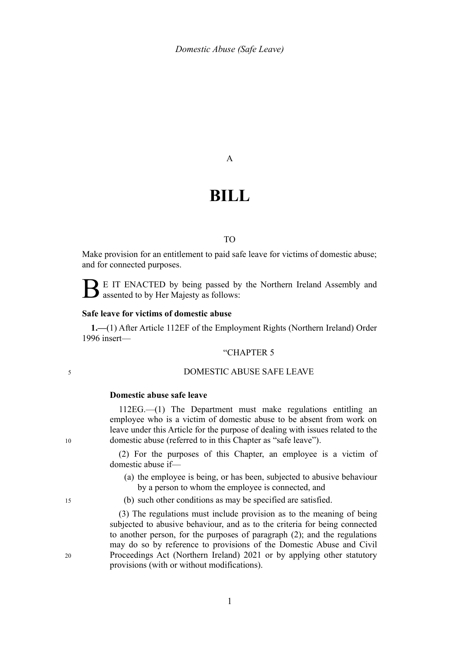#### A

# **BILL**

### TO

Make provision for an entitlement to paid safe leave for victims of domestic abuse; and for connected purposes.

E IT ENACTED by being passed by the Northern Ireland Assembly and assented to by Her Majesty as follows:

#### **Safe leave for victims of domestic abuse**

**1.—**(1) After Article 112EF of the Employment Rights (Northern Ireland) Order 1996 insert—

#### "CHAPTER 5

### DOMESTIC ABUSE SAFE LEAVE

#### **Domestic abuse safe leave**

112EG.—(1) The Department must make regulations entitling an employee who is a victim of domestic abuse to be absent from work on leave under this Article for the purpose of dealing with issues related to the domestic abuse (referred to in this Chapter as "safe leave").

(2) For the purposes of this Chapter, an employee is a victim of domestic abuse if—

- (a) the employee is being, or has been, subjected to abusive behaviour by a person to whom the employee is connected, and
- (b) such other conditions as may be specified are satisfied.

(3) The regulations must include provision as to the meaning of being subjected to abusive behaviour, and as to the criteria for being connected to another person, for the purposes of paragraph (2); and the regulations may do so by reference to provisions of the Domestic Abuse and Civil Proceedings Act (Northern Ireland) 2021 or by applying other statutory provisions (with or without modifications).

10

15

20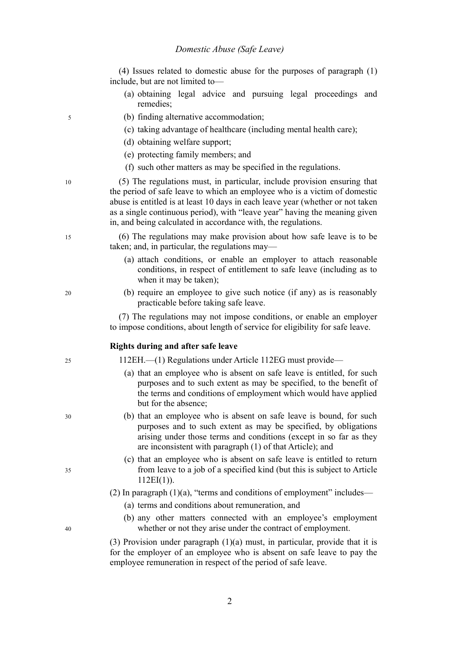(4) Issues related to domestic abuse for the purposes of paragraph (1) include, but are not limited to—

- (a) obtaining legal advice and pursuing legal proceedings and remedies;
- (b) finding alternative accommodation;
- (c) taking advantage of healthcare (including mental health care);
- (d) obtaining welfare support;
- (e) protecting family members; and
- (f) such other matters as may be specified in the regulations.

(5) The regulations must, in particular, include provision ensuring that the period of safe leave to which an employee who is a victim of domestic abuse is entitled is at least 10 days in each leave year (whether or not taken as a single continuous period), with "leave year" having the meaning given in, and being calculated in accordance with, the regulations.

(6) The regulations may make provision about how safe leave is to be taken; and, in particular, the regulations may—

- (a) attach conditions, or enable an employer to attach reasonable conditions, in respect of entitlement to safe leave (including as to when it may be taken);
- (b) require an employee to give such notice (if any) as is reasonably practicable before taking safe leave.

(7) The regulations may not impose conditions, or enable an employer to impose conditions, about length of service for eligibility for safe leave.

#### **Rights during and after safe leave**

112EH.—(1) Regulations under Article 112EG must provide—

- (a) that an employee who is absent on safe leave is entitled, for such purposes and to such extent as may be specified, to the benefit of the terms and conditions of employment which would have applied but for the absence;
- (b) that an employee who is absent on safe leave is bound, for such purposes and to such extent as may be specified, by obligations arising under those terms and conditions (except in so far as they are inconsistent with paragraph (1) of that Article); and
- (c) that an employee who is absent on safe leave is entitled to return from leave to a job of a specified kind (but this is subject to Article  $112EI(1)$ ).
- (2) In paragraph  $(1)(a)$ , "terms and conditions of employment" includes—
	- (a) terms and conditions about remuneration, and
	- (b) any other matters connected with an employee's employment whether or not they arise under the contract of employment.

(3) Provision under paragraph (1)(a) must, in particular, provide that it is for the employer of an employee who is absent on safe leave to pay the employee remuneration in respect of the period of safe leave.

40

5

10

15

20

 $25$ 

30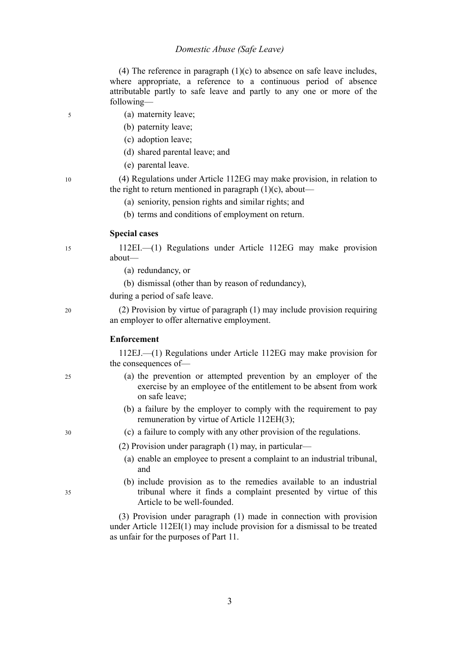#### *Domestic Abuse (Safe Leave)*

(4) The reference in paragraph  $(1)(c)$  to absence on safe leave includes, where appropriate, a reference to a continuous period of absence attributable partly to safe leave and partly to any one or more of the following—

- (a) maternity leave;
- (b) paternity leave;
- (c) adoption leave;
- (d) shared parental leave; and
- (e) parental leave.

(4) Regulations under Article 112EG may make provision, in relation to the right to return mentioned in paragraph (1)(c), about—

- (a) seniority, pension rights and similar rights; and
- (b) terms and conditions of employment on return.

#### **Special cases**

112EI.—(1) Regulations under Article 112EG may make provision about—

- (a) redundancy, or
- (b) dismissal (other than by reason of redundancy),
- during a period of safe leave.

(2) Provision by virtue of paragraph (1) may include provision requiring an employer to offer alternative employment.

#### **Enforcement**

112EJ.—(1) Regulations under Article 112EG may make provision for the consequences of—

- (a) the prevention or attempted prevention by an employer of the exercise by an employee of the entitlement to be absent from work on safe leave;
- (b) a failure by the employer to comply with the requirement to pay remuneration by virtue of Article 112EH(3);
- (c) a failure to comply with any other provision of the regulations.

(2) Provision under paragraph (1) may, in particular—

- (a) enable an employee to present a complaint to an industrial tribunal, and
- (b) include provision as to the remedies available to an industrial tribunal where it finds a complaint presented by virtue of this Article to be well-founded.

(3) Provision under paragraph (1) made in connection with provision under Article 112EI(1) may include provision for a dismissal to be treated as unfair for the purposes of Part 11.

3

25

5

10

15

20

35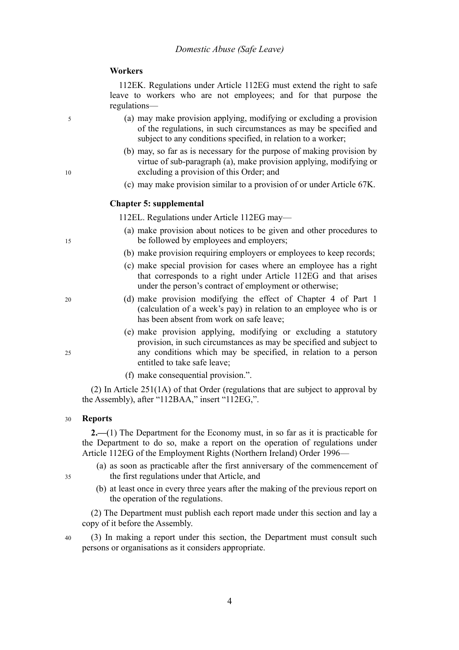### **Workers**

112EK. Regulations under Article 112EG must extend the right to safe leave to workers who are not employees; and for that purpose the regulations—

- (a) may make provision applying, modifying or excluding a provision of the regulations, in such circumstances as may be specified and subject to any conditions specified, in relation to a worker;
- (b) may, so far as is necessary for the purpose of making provision by virtue of sub-paragraph (a), make provision applying, modifying or excluding a provision of this Order; and
- (c) may make provision similar to a provision of or under Article 67K.

#### **Chapter 5: supplemental**

112EL. Regulations under Article 112EG may—

- (a) make provision about notices to be given and other procedures to be followed by employees and employers;
- (b) make provision requiring employers or employees to keep records;
- (c) make special provision for cases where an employee has a right that corresponds to a right under Article 112EG and that arises under the person's contract of employment or otherwise;
- (d) make provision modifying the effect of Chapter 4 of Part 1 (calculation of a week's pay) in relation to an employee who is or has been absent from work on safe leave;
- (e) make provision applying, modifying or excluding a statutory provision, in such circumstances as may be specified and subject to any conditions which may be specified, in relation to a person entitled to take safe leave;
- (f) make consequential provision.".

(2) In Article 251(1A) of that Order (regulations that are subject to approval by the Assembly), after "112BAA," insert "112EG,".

#### **Reports** 30

**2.—**(1) The Department for the Economy must, in so far as it is practicable for the Department to do so, make a report on the operation of regulations under Article 112EG of the Employment Rights (Northern Ireland) Order 1996—

- (a) as soon as practicable after the first anniversary of the commencement of the first regulations under that Article, and
- (b) at least once in every three years after the making of the previous report on the operation of the regulations.

(2) The Department must publish each report made under this section and lay a copy of it before the Assembly.

(3) In making a report under this section, the Department must consult such persons or organisations as it considers appropriate.

15

10

5

20

25

40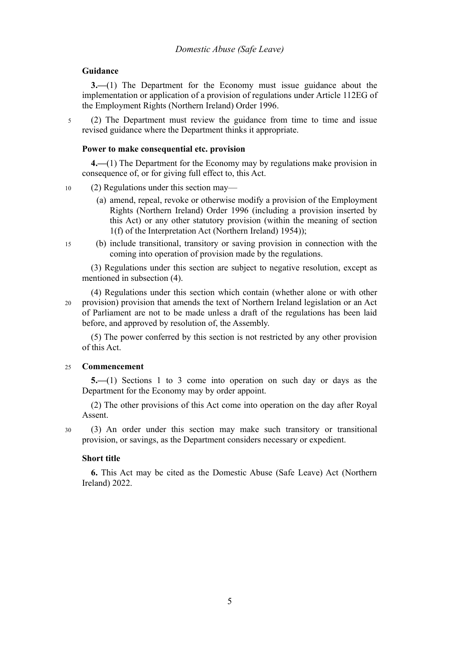### **Guidance**

5

**3.—**(1) The Department for the Economy must issue guidance about the implementation or application of a provision of regulations under Article 112EG of the Employment Rights (Northern Ireland) Order 1996.

(2) The Department must review the guidance from time to time and issue revised guidance where the Department thinks it appropriate.

### **Power to make consequential etc. provision**

**4.—**(1) The Department for the Economy may by regulations make provision in consequence of, or for giving full effect to, this Act.

- (2) Regulations under this section may— 10
	- (a) amend, repeal, revoke or otherwise modify a provision of the Employment Rights (Northern Ireland) Order 1996 (including a provision inserted by this Act) or any other statutory provision (within the meaning of section 1(f) of the Interpretation Act (Northern Ireland) 1954));
- (b) include transitional, transitory or saving provision in connection with the coming into operation of provision made by the regulations. 15

(3) Regulations under this section are subject to negative resolution, except as mentioned in subsection (4).

(4) Regulations under this section which contain (whether alone or with other provision) provision that amends the text of Northern Ireland legislation or an Act of Parliament are not to be made unless a draft of the regulations has been laid before, and approved by resolution of, the Assembly. 20

(5) The power conferred by this section is not restricted by any other provision of this Act.

#### **Commencement**  $25$

**5.—**(1) Sections 1 to 3 come into operation on such day or days as the Department for the Economy may by order appoint.

(2) The other provisions of this Act come into operation on the day after Royal Assent.

(3) An order under this section may make such transitory or transitional provision, or savings, as the Department considers necessary or expedient.  $30$ 

### **Short title**

**6.** This Act may be cited as the Domestic Abuse (Safe Leave) Act (Northern Ireland) 2022.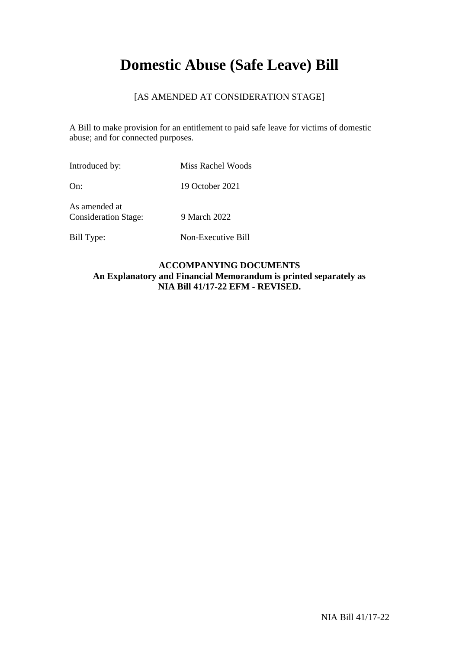# **Domestic Abuse (Safe Leave) Bill**

# [AS AMENDED AT CONSIDERATION STAGE]

A Bill to make provision for an entitlement to paid safe leave for victims of domestic abuse; and for connected purposes.

Introduced by: Miss Rachel Woods On: 19 October 2021

As amended at Consideration Stage: 9 March 2022

Bill Type: Non-Executive Bill

## **ACCOMPANYING DOCUMENTS An Explanatory and Financial Memorandum is printed separately as NIA Bill 41/17-22 EFM - REVISED.**